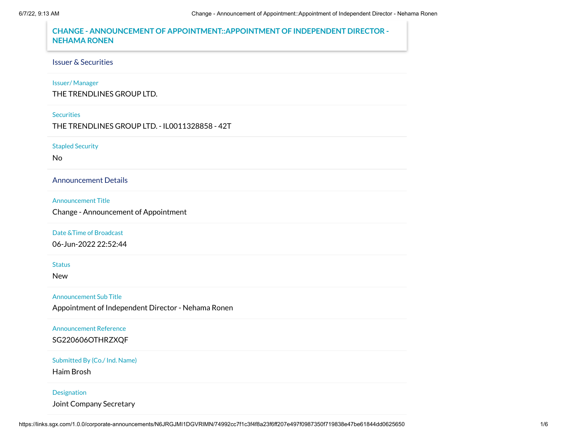# **CHANGE - ANNOUNCEMENT OF APPOINTMENT::APPOINTMENT OF INDEPENDENT DIRECTOR - NEHAMA RONEN**

# Issuer & Securities

# Issuer/ Manager

THE TRENDLINES GROUP LTD.

#### **Securities**

THE TRENDLINES GROUP LTD. - IL0011328858 - 42T

### Stapled Security

No

# Announcement Details

### Announcement Title

Change - Announcement of Appointment

### Date &Time of Broadcast

06-Jun-2022 22:52:44

#### **Status**

New

### Announcement Sub Title

Appointment of Independent Director - Nehama Ronen

### Announcement Reference

SG220606OTHRZXQF

# Submitted By (Co./ Ind. Name)

Haim Brosh

### Designation

Joint Company Secretary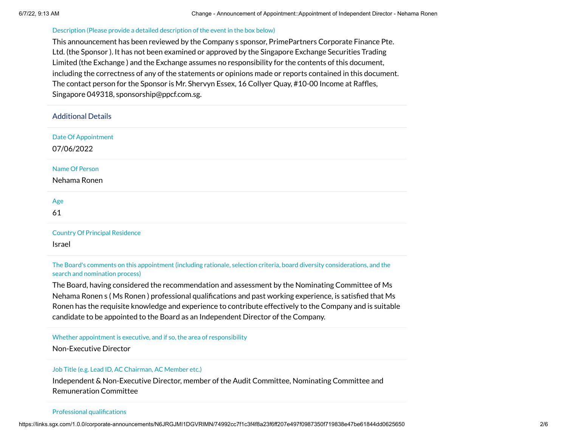#### Description (Please provide a detailed description of the event in the box below)

This announcement has been reviewed by the Company s sponsor, PrimePartners Corporate Finance Pte. Ltd. (the Sponsor ). It has not been examined or approved by the Singapore Exchange Securities Trading Limited (the Exchange ) and the Exchange assumes no responsibility for the contents of this document, including the correctness of any of the statements or opinions made or reports contained in this document. The contact person for the Sponsor is Mr. Shervyn Essex, 16 Collyer Quay, #10-00 Income at Raffles, Singapore 049318, sponsorship@ppcf.com.sg.

| <b>Additional Details</b>                |
|------------------------------------------|
| <b>Date Of Appointment</b><br>07/06/2022 |
| Name Of Person<br>Nehama Ronen           |
| Age<br>61                                |
| <b>Country Of Principal Residence</b>    |

Israel

The Board's comments on this appointment (including rationale, selection criteria, board diversity considerations, and the search and nomination process)

The Board, having considered the recommendation and assessment by the Nominating Committee of Ms Nehama Ronen s ( Ms Ronen ) professional qualifications and past working experience, is satisfied that Ms Ronen has the requisite knowledge and experience to contribute effectively to the Company and is suitable candidate to be appointed to the Board as an Independent Director of the Company.

Whether appointment is executive, and if so, the area of responsibility

Non-Executive Director

#### Job Title (e.g. Lead ID, AC Chairman, AC Member etc.)

Independent & Non-Executive Director, member of the Audit Committee, Nominating Committee and Remuneration Committee

#### Professional qualifications

https://links.sgx.com/1.0.0/corporate-announcements/N6JRGJMI1DGVRIMN/74992cc7f1c3f4f8a23f6ff207e497f0987350f719838e47be61844dd0625650 2/6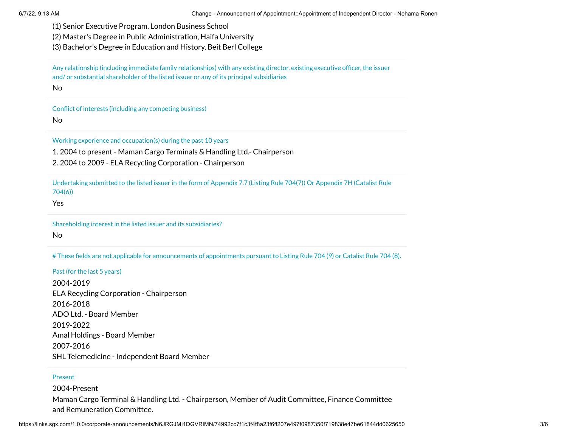- (1) Senior Executive Program, London Business School
- (2) Master's Degree in Public Administration, Haifa University
- (3) Bachelor's Degree in Education and History, Beit Berl College

Any relationship (including immediate family relationships) with any existing director, existing executive officer, the issuer and/ or substantial shareholder of the listed issuer or any of its principal subsidiaries

No

Conflict of interests (including any competing business)

No

Working experience and occupation(s) during the past 10 years

1. 2004 to present - Maman Cargo Terminals & Handling Ltd.- Chairperson

2. 2004 to 2009 - ELA Recycling Corporation - Chairperson

Undertaking submitted to the listed issuer in the form of Appendix 7.7 (Listing Rule 704(7)) Or Appendix 7H (Catalist Rule 704(6))

Yes

Shareholding interest in the listed issuer and its subsidiaries?

No

# These fields are not applicable for announcements of appointments pursuant to Listing Rule 704 (9) or Catalist Rule 704 (8).

Past (for the last 5 years)

2004-2019 ELA Recycling Corporation - Chairperson 2016-2018 ADO Ltd. - Board Member 2019-2022 Amal Holdings - Board Member 2007-2016 SHL Telemedicine - Independent Board Member

### Present

2004-Present Maman Cargo Terminal & Handling Ltd. - Chairperson, Member of Audit Committee, Finance Committee and Remuneration Committee.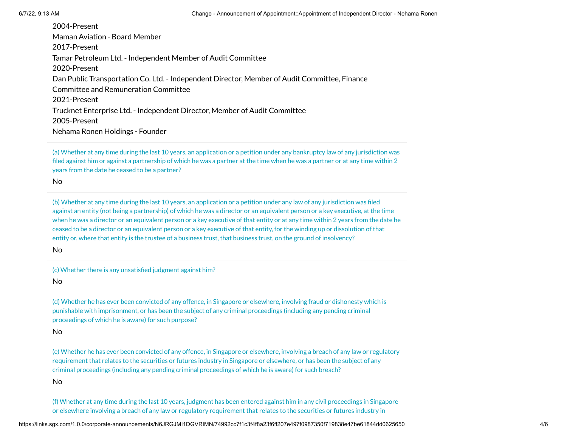2004-Present Maman Aviation - Board Member 2017-Present Tamar Petroleum Ltd. - Independent Member of Audit Committee 2020-Present Dan Public Transportation Co. Ltd. - Independent Director, Member of Audit Committee, Finance Committee and Remuneration Committee 2021-Present Trucknet Enterprise Ltd. - Independent Director, Member of Audit Committee 2005-Present Nehama Ronen Holdings - Founder

(a) Whether at any time during the last 10 years, an application or a petition under any bankruptcy law of any jurisdiction was filed against him or against a partnership of which he was a partner at the time when he was a partner or at any time within 2 years from the date he ceased to be a partner?

No

(b) Whether at any time during the last 10 years, an application or a petition under any law of any jurisdiction was filed against an entity (not being a partnership) of which he was a director or an equivalent person or a key executive, at the time when he was a director or an equivalent person or a key executive of that entity or at any time within 2 years from the date he ceased to be a director or an equivalent person or a key executive of that entity, for the winding up or dissolution of that entity or, where that entity is the trustee of a business trust, that business trust, on the ground of insolvency?

No

(c) Whether there is any unsatisfied judgment against him?

No

(d) Whether he has ever been convicted of any offence, in Singapore or elsewhere, involving fraud or dishonesty which is punishable with imprisonment, or has been the subject of any criminal proceedings (including any pending criminal proceedings of which he is aware) for such purpose?

No

(e) Whether he has ever been convicted of any offence, in Singapore or elsewhere, involving a breach of any law or regulatory requirement that relates to the securities or futures industry in Singapore or elsewhere, or has been the subject of any criminal proceedings (including any pending criminal proceedings of which he is aware) for such breach?

No

(f) Whether at any time during the last 10 years, judgment has been entered against him in any civil proceedings in Singapore or elsewhere involving a breach of any law or regulatory requirement that relates to the securities or futures industry in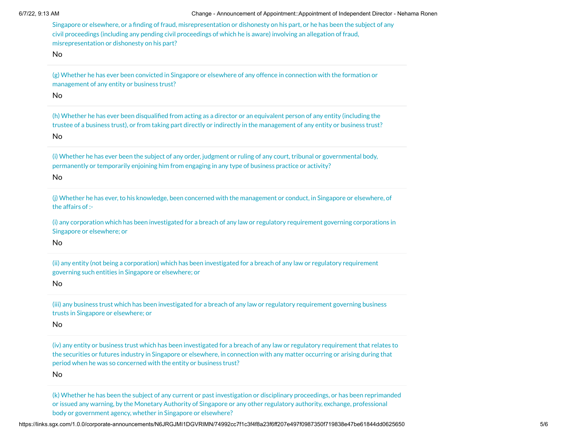Singapore or elsewhere, or a finding of fraud, misrepresentation or dishonesty on his part, or he has been the subject of any civil proceedings (including any pending civil proceedings of which he is aware) involving an allegation of fraud, misrepresentation or dishonesty on his part?

No

(g) Whether he has ever been convicted in Singapore or elsewhere of any offence in connection with the formation or management of any entity or business trust?

No

(h) Whether he has ever been disqualified from acting as a director or an equivalent person of any entity (including the trustee of a business trust), or from taking part directly or indirectly in the management of any entity or business trust?

No

(i) Whether he has ever been the subject of any order, judgment or ruling of any court, tribunal or governmental body, permanently or temporarily enjoining him from engaging in any type of business practice or activity?

No

(j) Whether he has ever, to his knowledge, been concerned with the management or conduct, in Singapore or elsewhere, of the affairs of :-

(i) any corporation which has been investigated for a breach of any law or regulatory requirement governing corporations in Singapore or elsewhere; or

No

(ii) any entity (not being a corporation) which has been investigated for a breach of any law or regulatory requirement governing such entities in Singapore or elsewhere; or

No

(iii) any business trust which has been investigated for a breach of any law or regulatory requirement governing business trusts in Singapore or elsewhere; or

No

(iv) any entity or business trust which has been investigated for a breach of any law or regulatory requirement that relates to the securities or futures industry in Singapore or elsewhere, in connection with any matter occurring or arising during that period when he was so concerned with the entity or business trust?

No

(k) Whether he has been the subject of any current or past investigation or disciplinary proceedings, or has been reprimanded or issued any warning, by the Monetary Authority of Singapore or any other regulatory authority, exchange, professional body or government agency, whether in Singapore or elsewhere?

https://links.sgx.com/1.0.0/corporate-announcements/N6JRGJMI1DGVRIMN/74992cc7f1c3f4f8a23f6ff207e497f0987350f719838e47be61844dd0625650 5/6